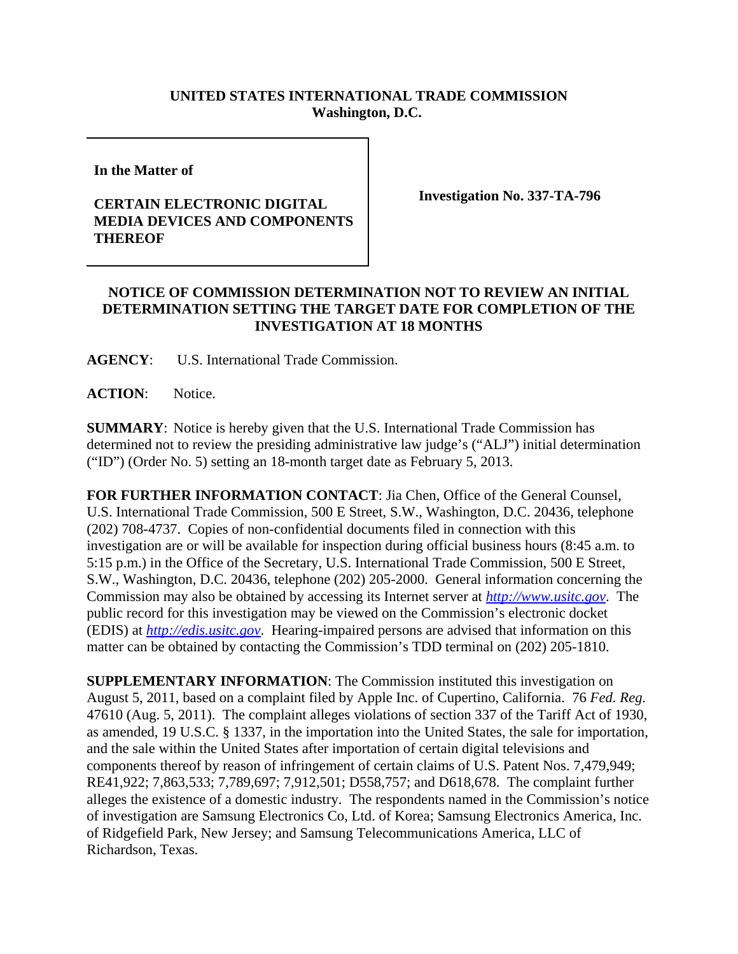## **UNITED STATES INTERNATIONAL TRADE COMMISSION Washington, D.C.**

**In the Matter of** 

## **CERTAIN ELECTRONIC DIGITAL MEDIA DEVICES AND COMPONENTS THEREOF**

**Investigation No. 337-TA-796**

## **NOTICE OF COMMISSION DETERMINATION NOT TO REVIEW AN INITIAL DETERMINATION SETTING THE TARGET DATE FOR COMPLETION OF THE INVESTIGATION AT 18 MONTHS**

**AGENCY**: U.S. International Trade Commission.

**ACTION**: Notice.

**SUMMARY**: Notice is hereby given that the U.S. International Trade Commission has determined not to review the presiding administrative law judge's ("ALJ") initial determination ("ID") (Order No. 5) setting an 18-month target date as February 5, 2013.

**FOR FURTHER INFORMATION CONTACT**: Jia Chen, Office of the General Counsel, U.S. International Trade Commission, 500 E Street, S.W., Washington, D.C. 20436, telephone (202) 708-4737. Copies of non-confidential documents filed in connection with this investigation are or will be available for inspection during official business hours (8:45 a.m. to 5:15 p.m.) in the Office of the Secretary, U.S. International Trade Commission, 500 E Street, S.W., Washington, D.C. 20436, telephone (202) 205-2000. General information concerning the Commission may also be obtained by accessing its Internet server at *http://www.usitc.gov*. The public record for this investigation may be viewed on the Commission's electronic docket (EDIS) at *http://edis.usitc.gov*. Hearing-impaired persons are advised that information on this matter can be obtained by contacting the Commission's TDD terminal on (202) 205-1810.

**SUPPLEMENTARY INFORMATION**: The Commission instituted this investigation on August 5, 2011, based on a complaint filed by Apple Inc. of Cupertino, California. 76 *Fed. Reg.* 47610 (Aug. 5, 2011). The complaint alleges violations of section 337 of the Tariff Act of 1930, as amended, 19 U.S.C. § 1337, in the importation into the United States, the sale for importation, and the sale within the United States after importation of certain digital televisions and components thereof by reason of infringement of certain claims of U.S. Patent Nos. 7,479,949; RE41,922; 7,863,533; 7,789,697; 7,912,501; D558,757; and D618,678. The complaint further alleges the existence of a domestic industry. The respondents named in the Commission's notice of investigation are Samsung Electronics Co, Ltd. of Korea; Samsung Electronics America, Inc. of Ridgefield Park, New Jersey; and Samsung Telecommunications America, LLC of Richardson, Texas.